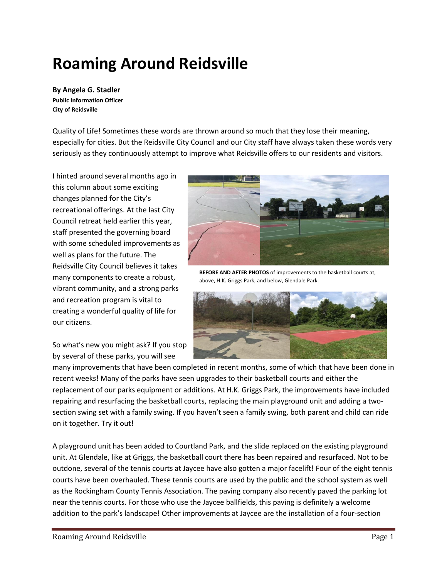# **Roaming Around Reidsville**

**By Angela G. Stadler Public Information Officer City of Reidsville**

Quality of Life! Sometimes these words are thrown around so much that they lose their meaning, especially for cities. But the Reidsville City Council and our City staff have always taken these words very seriously as they continuously attempt to improve what Reidsville offers to our residents and visitors.

I hinted around several months ago in this column about some exciting changes planned for the City's recreational offerings. At the last City Council retreat held earlier this year, staff presented the governing board with some scheduled improvements as well as plans for the future. The Reidsville City Council believes it takes many components to create a robust, vibrant community, and a strong parks and recreation program is vital to creating a wonderful quality of life for our citizens.

So what's new you might ask? If you stop by several of these parks, you will see



**BEFORE AND AFTER PHOTOS** of improvements to the basketball courts at, above, H.K. Griggs Park, and below, Glendale Park.



many improvements that have been completed in recent months, some of which that have been done in recent weeks! Many of the parks have seen upgrades to their basketball courts and either the replacement of our parks equipment or additions. At H.K. Griggs Park, the improvements have included repairing and resurfacing the basketball courts, replacing the main playground unit and adding a twosection swing set with a family swing. If you haven't seen a family swing, both parent and child can ride on it together. Try it out!

A playground unit has been added to Courtland Park, and the slide replaced on the existing playground unit. At Glendale, like at Griggs, the basketball court there has been repaired and resurfaced. Not to be outdone, several of the tennis courts at Jaycee have also gotten a major facelift! Four of the eight tennis courts have been overhauled. These tennis courts are used by the public and the school system as well as the Rockingham County Tennis Association. The paving company also recently paved the parking lot near the tennis courts. For those who use the Jaycee ballfields, this paving is definitely a welcome addition to the park's landscape! Other improvements at Jaycee are the installation of a four-section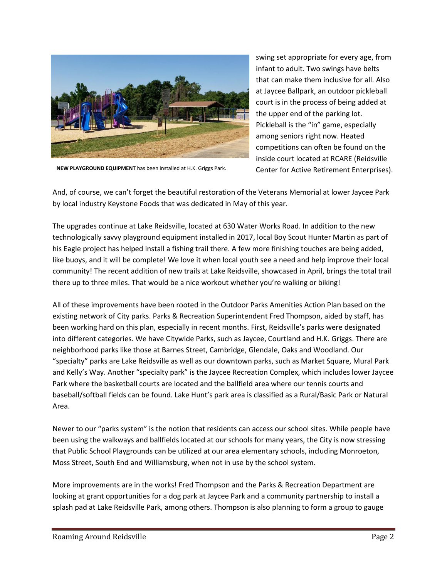

swing set appropriate for every age, from infant to adult. Two swings have belts that can make them inclusive for all. Also at Jaycee Ballpark, an outdoor pickleball court is in the process of being added at the upper end of the parking lot. Pickleball is the "in" game, especially among seniors right now. Heated competitions can often be found on the inside court located at RCARE (Reidsville Center for Active Retirement Enterprises).

**NEW PLAYGROUND EQUIPMENT** has been installed at H.K. Griggs Park.

And, of course, we can't forget the beautiful restoration of the Veterans Memorial at lower Jaycee Park by local industry Keystone Foods that was dedicated in May of this year.

The upgrades continue at Lake Reidsville, located at 630 Water Works Road. In addition to the new technologically savvy playground equipment installed in 2017, local Boy Scout Hunter Martin as part of his Eagle project has helped install a fishing trail there. A few more finishing touches are being added, like buoys, and it will be complete! We love it when local youth see a need and help improve their local community! The recent addition of new trails at Lake Reidsville, showcased in April, brings the total trail there up to three miles. That would be a nice workout whether you're walking or biking!

All of these improvements have been rooted in the Outdoor Parks Amenities Action Plan based on the existing network of City parks. Parks & Recreation Superintendent Fred Thompson, aided by staff, has been working hard on this plan, especially in recent months. First, Reidsville's parks were designated into different categories. We have Citywide Parks, such as Jaycee, Courtland and H.K. Griggs. There are neighborhood parks like those at Barnes Street, Cambridge, Glendale, Oaks and Woodland. Our "specialty" parks are Lake Reidsville as well as our downtown parks, such as Market Square, Mural Park and Kelly's Way. Another "specialty park" is the Jaycee Recreation Complex, which includes lower Jaycee Park where the basketball courts are located and the ballfield area where our tennis courts and baseball/softball fields can be found. Lake Hunt's park area is classified as a Rural/Basic Park or Natural Area.

Newer to our "parks system" is the notion that residents can access our school sites. While people have been using the walkways and ballfields located at our schools for many years, the City is now stressing that Public School Playgrounds can be utilized at our area elementary schools, including Monroeton, Moss Street, South End and Williamsburg, when not in use by the school system.

More improvements are in the works! Fred Thompson and the Parks & Recreation Department are looking at grant opportunities for a dog park at Jaycee Park and a community partnership to install a splash pad at Lake Reidsville Park, among others. Thompson is also planning to form a group to gauge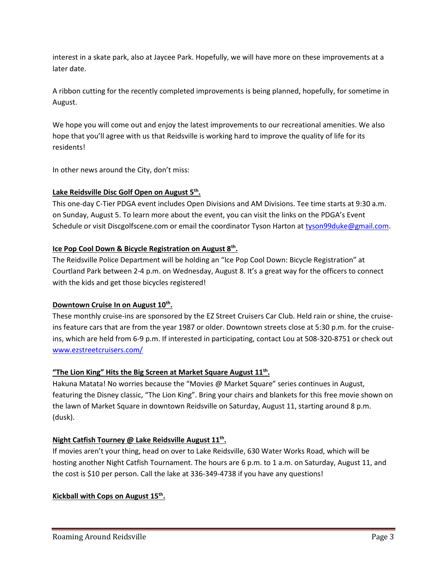interest in a skate park, also at Jaycee Park. Hopefully, we will have more on these improvements at a later date.

A ribbon cutting for the recently completed improvements is being planned, hopefully, for sometime in August.

We hope you will come out and enjoy the latest improvements to our recreational amenities. We also hope that you'll agree with us that Reidsville is working hard to improve the quality of life for its residents!

In other news around the City, don't miss:

#### **Lake Reidsville Disc Golf Open on August 5th .**

This one-day C-Tier PDGA event includes Open Divisions and AM Divisions. Tee time starts at 9:30 a.m. on Sunday, August 5. To learn more about the event, you can visit the links on the PDGA's Event Schedule or visit Discgolfscene.com or email the coordinator Tyson Harton a[t tyson99duke@gmail.com.](mailto:tyson99duke@gmail.com)

#### **Ice Pop Cool Down & Bicycle Registration on August 8th .**

The Reidsville Police Department will be holding an "Ice Pop Cool Down: Bicycle Registration" at Courtland Park between 2-4 p.m. on Wednesday, August 8. It's a great way for the officers to connect with the kids and get those bicycles registered!

#### **Downtown Cruise In on August 10th .**

These monthly cruise-ins are sponsored by the EZ Street Cruisers Car Club. Held rain or shine, the cruiseins feature cars that are from the year 1987 or older. Downtown streets close at 5:30 p.m. for the cruiseins, which are held from 6-9 p.m. If interested in participating, contact Lou at 508-320-8751 or check out [www.ezstreetcruisers.com/](http://www.ezstreetcruisers.com/)

#### **"The Lion King" Hits the Big Screen at Market Square August 11th .**

Hakuna Matata! No worries because the "Movies @ Market Square" series continues in August, featuring the Disney classic, "The Lion King". Bring your chairs and blankets for this free movie shown on the lawn of Market Square in downtown Reidsville on Saturday, August 11, starting around 8 p.m. (dusk).

#### **Night Catfish Tourney @ Lake Reidsville August 11th .**

If movies aren't your thing, head on over to Lake Reidsville, 630 Water Works Road, which will be hosting another Night Catfish Tournament. The hours are 6 p.m. to 1 a.m. on Saturday, August 11, and the cost is \$10 per person. Call the lake at 336-349-4738 if you have any questions!

#### **Kickball with Cops on August 15th .**